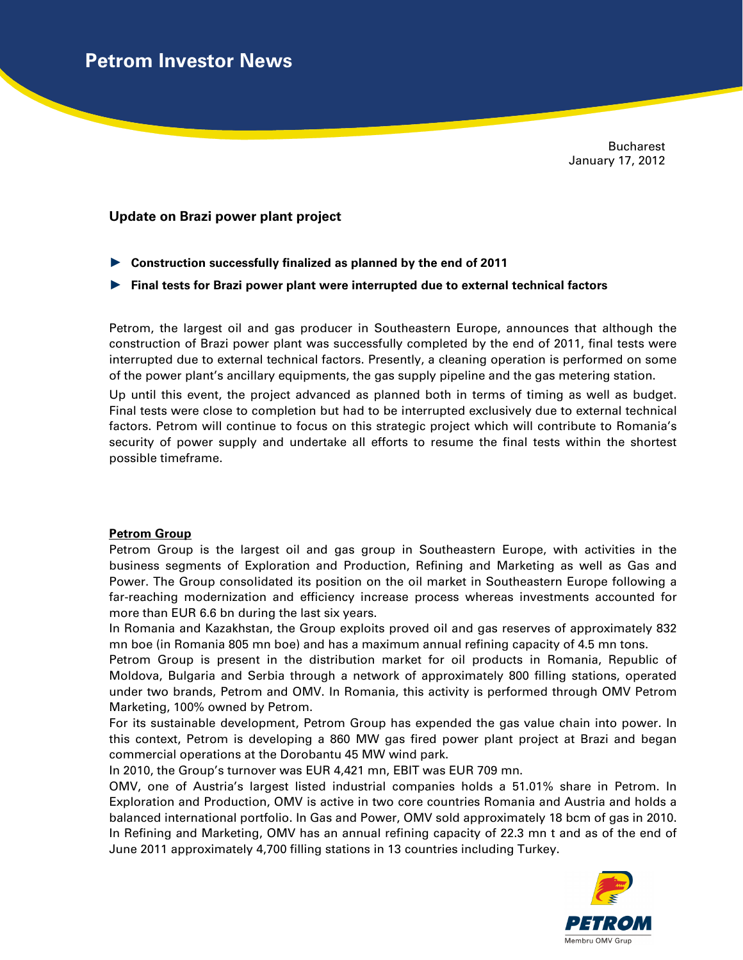Bucharest January 17, 2012

## **Update on Brazi power plant project**

- ► **Construction successfully finalized as planned by the end of 2011**
- ► **Final tests for Brazi power plant were interrupted due to external technical factors**

Petrom, the largest oil and gas producer in Southeastern Europe, announces that although the construction of Brazi power plant was successfully completed by the end of 2011, final tests were interrupted due to external technical factors. Presently, a cleaning operation is performed on some of the power plant's ancillary equipments, the gas supply pipeline and the gas metering station.

Up until this event, the project advanced as planned both in terms of timing as well as budget. Final tests were close to completion but had to be interrupted exclusively due to external technical factors. Petrom will continue to focus on this strategic project which will contribute to Romania's security of power supply and undertake all efforts to resume the final tests within the shortest possible timeframe.

## **Petrom Group**

Petrom Group is the largest oil and gas group in Southeastern Europe, with activities in the business segments of Exploration and Production, Refining and Marketing as well as Gas and Power. The Group consolidated its position on the oil market in Southeastern Europe following a far-reaching modernization and efficiency increase process whereas investments accounted for more than EUR 6.6 bn during the last six years.

In Romania and Kazakhstan, the Group exploits proved oil and gas reserves of approximately 832 mn boe (in Romania 805 mn boe) and has a maximum annual refining capacity of 4.5 mn tons.

Petrom Group is present in the distribution market for oil products in Romania, Republic of Moldova, Bulgaria and Serbia through a network of approximately 800 filling stations, operated under two brands, Petrom and OMV. In Romania, this activity is performed through OMV Petrom Marketing, 100% owned by Petrom.

For its sustainable development, Petrom Group has expended the gas value chain into power. In this context, Petrom is developing a 860 MW gas fired power plant project at Brazi and began commercial operations at the Dorobantu 45 MW wind park.

In 2010, the Group's turnover was EUR 4,421 mn, EBIT was EUR 709 mn.

OMV, one of Austria's largest listed industrial companies holds a 51.01% share in Petrom. In Exploration and Production, OMV is active in two core countries Romania and Austria and holds a balanced international portfolio. In Gas and Power, OMV sold approximately 18 bcm of gas in 2010. In Refining and Marketing, OMV has an annual refining capacity of 22.3 mn t and as of the end of June 2011 approximately 4,700 filling stations in 13 countries including Turkey.